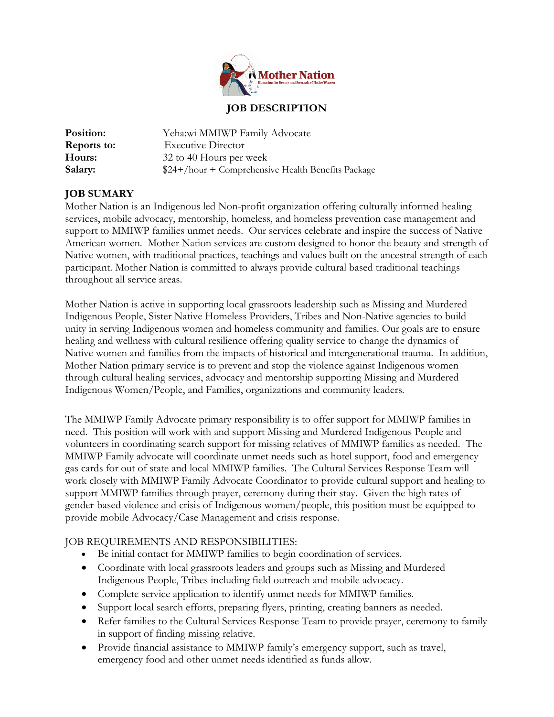

### **JOB DESCRIPTION**

| Position:          | Yeha:wi MMIWP Family Advocate                       |
|--------------------|-----------------------------------------------------|
| <b>Reports to:</b> | <b>Executive Director</b>                           |
| Hours:             | 32 to 40 Hours per week                             |
| Salary:            | $$24+/hour + Comprehensive Health Benefits Package$ |

## **JOB SUMARY**

Mother Nation is an Indigenous led Non-profit organization offering culturally informed healing services, mobile advocacy, mentorship, homeless, and homeless prevention case management and support to MMIWP families unmet needs. Our services celebrate and inspire the success of Native American women. Mother Nation services are custom designed to honor the beauty and strength of Native women, with traditional practices, teachings and values built on the ancestral strength of each participant. Mother Nation is committed to always provide cultural based traditional teachings throughout all service areas.

Mother Nation is active in supporting local grassroots leadership such as Missing and Murdered Indigenous People, Sister Native Homeless Providers, Tribes and Non-Native agencies to build unity in serving Indigenous women and homeless community and families. Our goals are to ensure healing and wellness with cultural resilience offering quality service to change the dynamics of Native women and families from the impacts of historical and intergenerational trauma. In addition, Mother Nation primary service is to prevent and stop the violence against Indigenous women through cultural healing services, advocacy and mentorship supporting Missing and Murdered Indigenous Women/People, and Families, organizations and community leaders.

The MMIWP Family Advocate primary responsibility is to offer support for MMIWP families in need. This position will work with and support Missing and Murdered Indigenous People and volunteers in coordinating search support for missing relatives of MMIWP families as needed. The MMIWP Family advocate will coordinate unmet needs such as hotel support, food and emergency gas cards for out of state and local MMIWP families. The Cultural Services Response Team will work closely with MMIWP Family Advocate Coordinator to provide cultural support and healing to support MMIWP families through prayer, ceremony during their stay. Given the high rates of gender-based violence and crisis of Indigenous women/people, this position must be equipped to provide mobile Advocacy/Case Management and crisis response.

## JOB REQUIREMENTS AND RESPONSIBILITIES:

- Be initial contact for MMIWP families to begin coordination of services.
- Coordinate with local grassroots leaders and groups such as Missing and Murdered Indigenous People, Tribes including field outreach and mobile advocacy.
- Complete service application to identify unmet needs for MMIWP families.
- Support local search efforts, preparing flyers, printing, creating banners as needed.
- Refer families to the Cultural Services Response Team to provide prayer, ceremony to family in support of finding missing relative.
- Provide financial assistance to MMIWP family's emergency support, such as travel, emergency food and other unmet needs identified as funds allow.